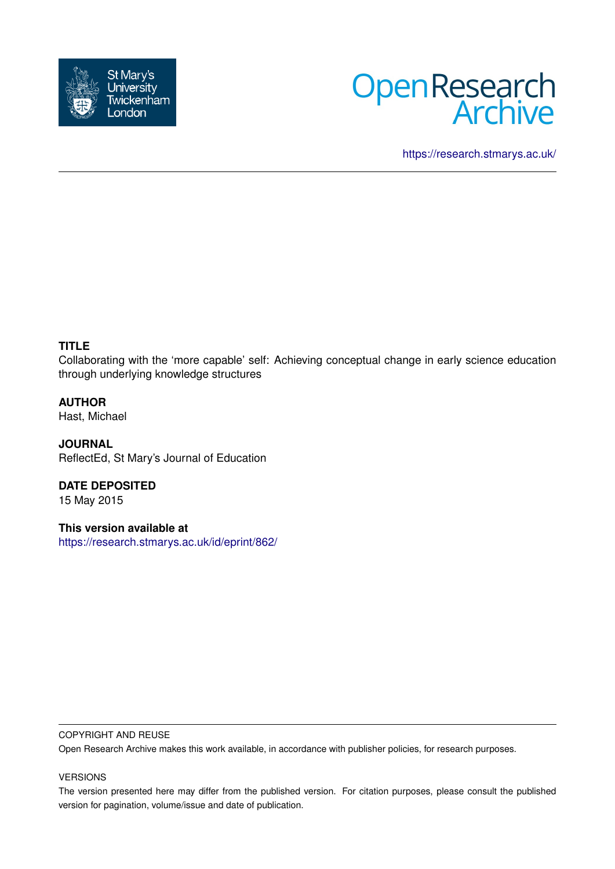



<https://research.stmarys.ac.uk/>

# **TITLE**

Collaborating with the 'more capable' self: Achieving conceptual change in early science education through underlying knowledge structures

**AUTHOR** Hast, Michael

**JOURNAL** ReflectEd, St Mary's Journal of Education

**DATE DEPOSITED** 15 May 2015

**This version available at** <https://research.stmarys.ac.uk/id/eprint/862/>

#### COPYRIGHT AND REUSE

Open Research Archive makes this work available, in accordance with publisher policies, for research purposes.

### VERSIONS

The version presented here may differ from the published version. For citation purposes, please consult the published version for pagination, volume/issue and date of publication.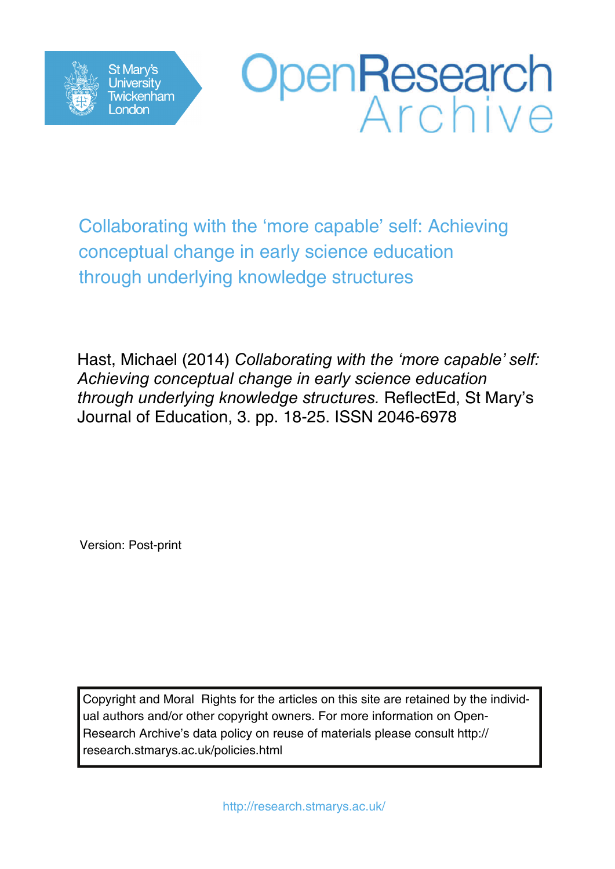



Collaborating with the 'more capable' self: Achieving conceptual change in early science education through underlying knowledge structures

Hast, Michael (2014) *Collaborating with the 'more capable' self: Achieving conceptual change in early science education through underlying knowledge structures.* ReflectEd, St Mary's Journal of Education, 3. pp. 18-25. ISSN 2046-6978

Version: Post-print

Copyright and Moral Rights for the articles on this site are retained by the individual authors and/or other copyright owners. For more information on Open-Research Archive's data policy on reuse of materials please consult http:// research.stmarys.ac.uk/policies.html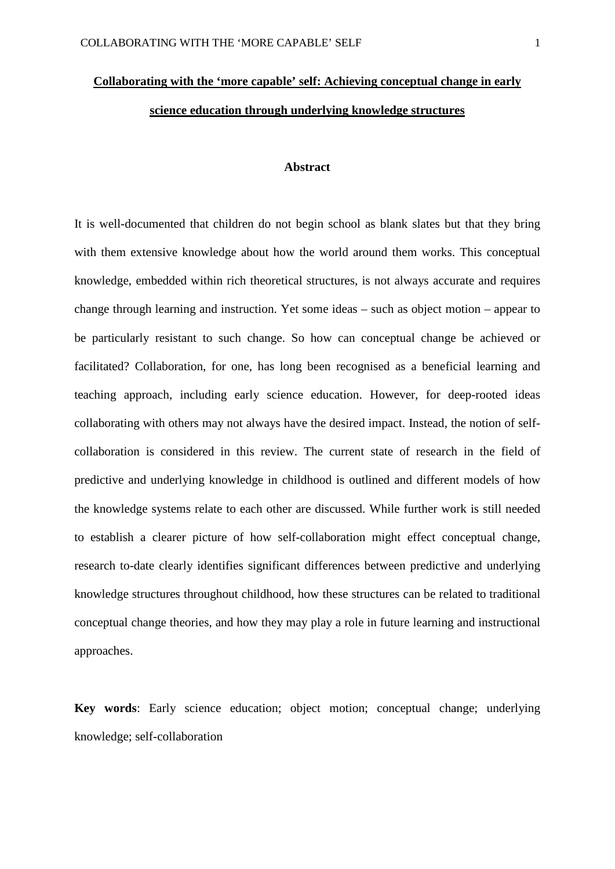# **Collaborating with the 'more capable' self: Achieving conceptual change in early science education through underlying knowledge structures**

#### **Abstract**

It is well-documented that children do not begin school as blank slates but that they bring with them extensive knowledge about how the world around them works. This conceptual knowledge, embedded within rich theoretical structures, is not always accurate and requires change through learning and instruction. Yet some ideas – such as object motion – appear to be particularly resistant to such change. So how can conceptual change be achieved or facilitated? Collaboration, for one, has long been recognised as a beneficial learning and teaching approach, including early science education. However, for deep-rooted ideas collaborating with others may not always have the desired impact. Instead, the notion of selfcollaboration is considered in this review. The current state of research in the field of predictive and underlying knowledge in childhood is outlined and different models of how the knowledge systems relate to each other are discussed. While further work is still needed to establish a clearer picture of how self-collaboration might effect conceptual change, research to-date clearly identifies significant differences between predictive and underlying knowledge structures throughout childhood, how these structures can be related to traditional conceptual change theories, and how they may play a role in future learning and instructional approaches.

**Key words**: Early science education; object motion; conceptual change; underlying knowledge; self-collaboration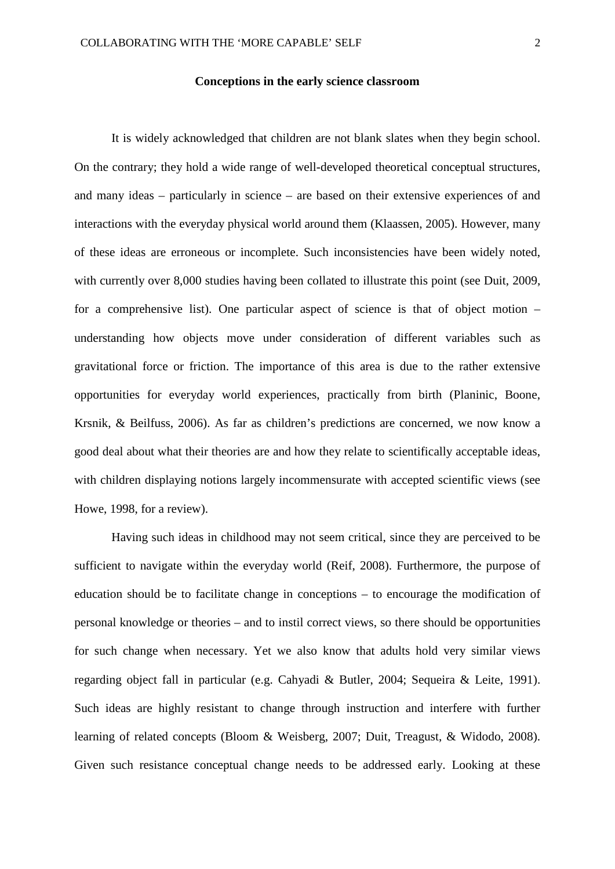#### **Conceptions in the early science classroom**

It is widely acknowledged that children are not blank slates when they begin school. On the contrary; they hold a wide range of well-developed theoretical conceptual structures, and many ideas – particularly in science – are based on their extensive experiences of and interactions with the everyday physical world around them (Klaassen, 2005). However, many of these ideas are erroneous or incomplete. Such inconsistencies have been widely noted, with currently over 8,000 studies having been collated to illustrate this point (see Duit, 2009, for a comprehensive list). One particular aspect of science is that of object motion – understanding how objects move under consideration of different variables such as gravitational force or friction. The importance of this area is due to the rather extensive opportunities for everyday world experiences, practically from birth (Planinic, Boone, Krsnik, & Beilfuss, 2006). As far as children's predictions are concerned, we now know a good deal about what their theories are and how they relate to scientifically acceptable ideas, with children displaying notions largely incommensurate with accepted scientific views (see Howe, 1998, for a review).

Having such ideas in childhood may not seem critical, since they are perceived to be sufficient to navigate within the everyday world (Reif, 2008). Furthermore, the purpose of education should be to facilitate change in conceptions – to encourage the modification of personal knowledge or theories – and to instil correct views, so there should be opportunities for such change when necessary. Yet we also know that adults hold very similar views regarding object fall in particular (e.g. Cahyadi & Butler, 2004; Sequeira & Leite, 1991). Such ideas are highly resistant to change through instruction and interfere with further learning of related concepts (Bloom & Weisberg, 2007; Duit, Treagust, & Widodo, 2008). Given such resistance conceptual change needs to be addressed early. Looking at these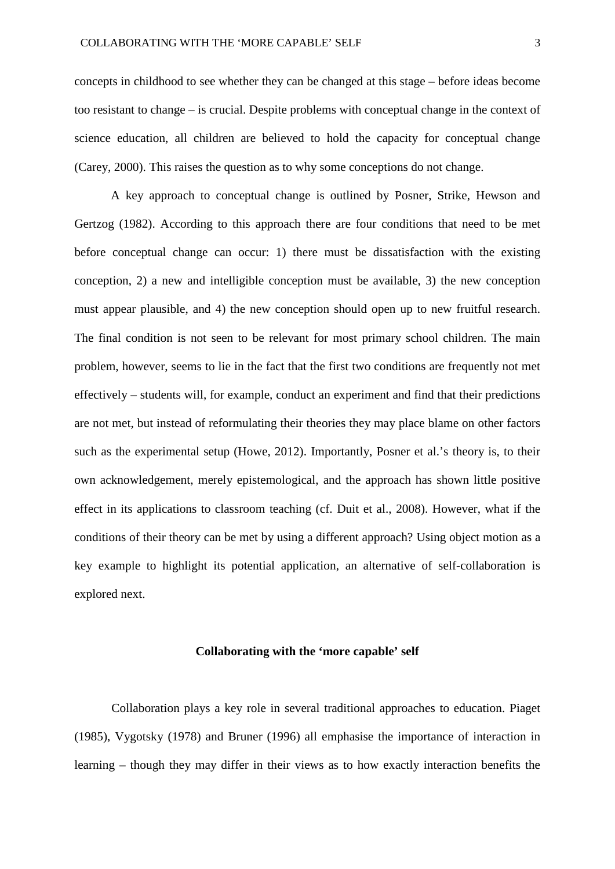concepts in childhood to see whether they can be changed at this stage – before ideas become too resistant to change – is crucial. Despite problems with conceptual change in the context of science education, all children are believed to hold the capacity for conceptual change (Carey, 2000). This raises the question as to why some conceptions do not change.

A key approach to conceptual change is outlined by Posner, Strike, Hewson and Gertzog (1982). According to this approach there are four conditions that need to be met before conceptual change can occur: 1) there must be dissatisfaction with the existing conception, 2) a new and intelligible conception must be available, 3) the new conception must appear plausible, and 4) the new conception should open up to new fruitful research. The final condition is not seen to be relevant for most primary school children. The main problem, however, seems to lie in the fact that the first two conditions are frequently not met effectively – students will, for example, conduct an experiment and find that their predictions are not met, but instead of reformulating their theories they may place blame on other factors such as the experimental setup (Howe, 2012). Importantly, Posner et al.'s theory is, to their own acknowledgement, merely epistemological, and the approach has shown little positive effect in its applications to classroom teaching (cf. Duit et al., 2008). However, what if the conditions of their theory can be met by using a different approach? Using object motion as a key example to highlight its potential application, an alternative of self-collaboration is explored next.

#### **Collaborating with the 'more capable' self**

Collaboration plays a key role in several traditional approaches to education. Piaget (1985), Vygotsky (1978) and Bruner (1996) all emphasise the importance of interaction in learning – though they may differ in their views as to how exactly interaction benefits the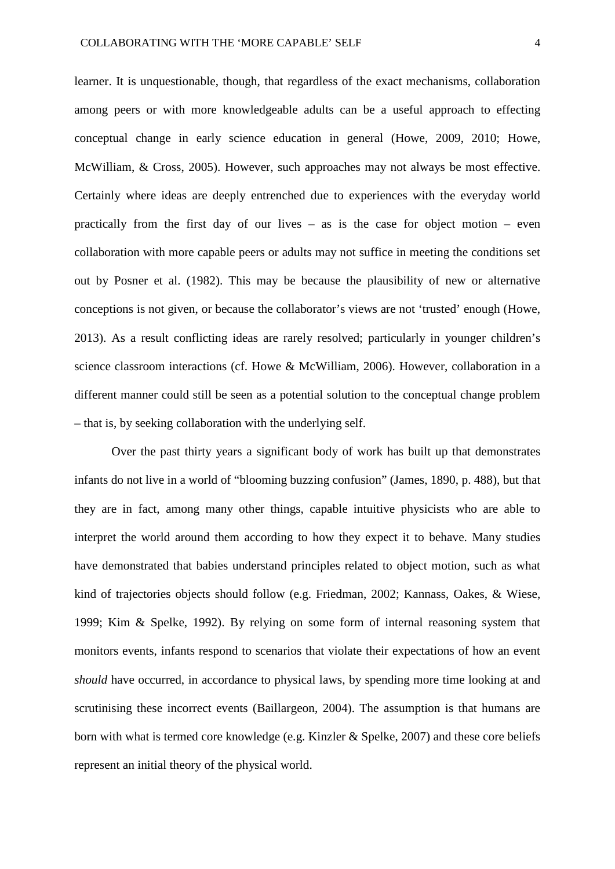learner. It is unquestionable, though, that regardless of the exact mechanisms, collaboration among peers or with more knowledgeable adults can be a useful approach to effecting conceptual change in early science education in general (Howe, 2009, 2010; Howe, McWilliam, & Cross, 2005). However, such approaches may not always be most effective. Certainly where ideas are deeply entrenched due to experiences with the everyday world practically from the first day of our lives – as is the case for object motion – even collaboration with more capable peers or adults may not suffice in meeting the conditions set out by Posner et al. (1982). This may be because the plausibility of new or alternative conceptions is not given, or because the collaborator's views are not 'trusted' enough (Howe, 2013). As a result conflicting ideas are rarely resolved; particularly in younger children's science classroom interactions (cf. Howe & McWilliam, 2006). However, collaboration in a different manner could still be seen as a potential solution to the conceptual change problem – that is, by seeking collaboration with the underlying self.

Over the past thirty years a significant body of work has built up that demonstrates infants do not live in a world of "blooming buzzing confusion" (James, 1890, p. 488), but that they are in fact, among many other things, capable intuitive physicists who are able to interpret the world around them according to how they expect it to behave. Many studies have demonstrated that babies understand principles related to object motion, such as what kind of trajectories objects should follow (e.g. Friedman, 2002; Kannass, Oakes, & Wiese, 1999; Kim & Spelke, 1992). By relying on some form of internal reasoning system that monitors events, infants respond to scenarios that violate their expectations of how an event *should* have occurred, in accordance to physical laws, by spending more time looking at and scrutinising these incorrect events (Baillargeon, 2004). The assumption is that humans are born with what is termed core knowledge (e.g. Kinzler & Spelke, 2007) and these core beliefs represent an initial theory of the physical world.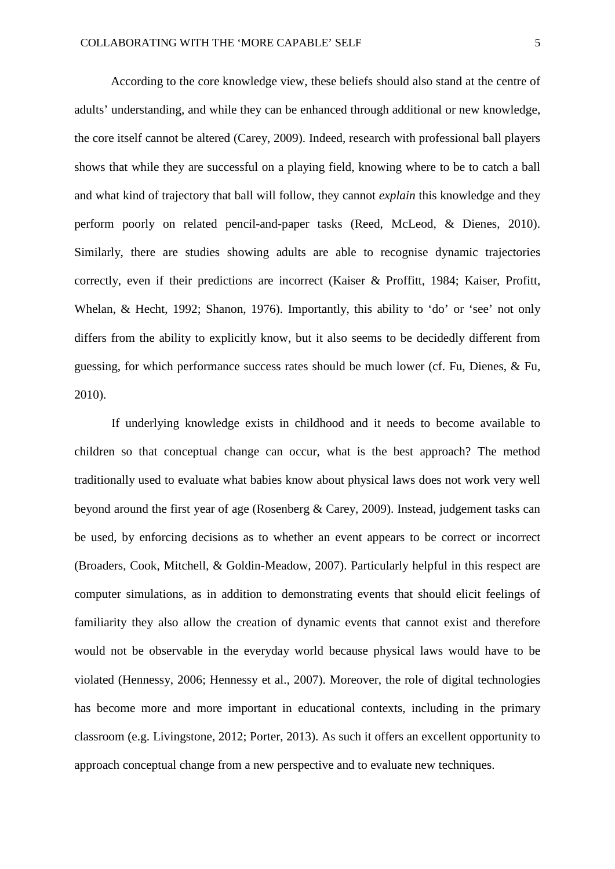According to the core knowledge view, these beliefs should also stand at the centre of adults' understanding, and while they can be enhanced through additional or new knowledge, the core itself cannot be altered (Carey, 2009). Indeed, research with professional ball players shows that while they are successful on a playing field, knowing where to be to catch a ball and what kind of trajectory that ball will follow, they cannot *explain* this knowledge and they perform poorly on related pencil-and-paper tasks (Reed, McLeod, & Dienes, 2010). Similarly, there are studies showing adults are able to recognise dynamic trajectories correctly, even if their predictions are incorrect (Kaiser & Proffitt, 1984; Kaiser, Profitt, Whelan, & Hecht, 1992; Shanon, 1976). Importantly, this ability to 'do' or 'see' not only differs from the ability to explicitly know, but it also seems to be decidedly different from guessing, for which performance success rates should be much lower (cf. Fu, Dienes, & Fu, 2010).

If underlying knowledge exists in childhood and it needs to become available to children so that conceptual change can occur, what is the best approach? The method traditionally used to evaluate what babies know about physical laws does not work very well beyond around the first year of age (Rosenberg & Carey, 2009). Instead, judgement tasks can be used, by enforcing decisions as to whether an event appears to be correct or incorrect (Broaders, Cook, Mitchell, & Goldin-Meadow, 2007). Particularly helpful in this respect are computer simulations, as in addition to demonstrating events that should elicit feelings of familiarity they also allow the creation of dynamic events that cannot exist and therefore would not be observable in the everyday world because physical laws would have to be violated (Hennessy, 2006; Hennessy et al., 2007). Moreover, the role of digital technologies has become more and more important in educational contexts, including in the primary classroom (e.g. Livingstone, 2012; Porter, 2013). As such it offers an excellent opportunity to approach conceptual change from a new perspective and to evaluate new techniques.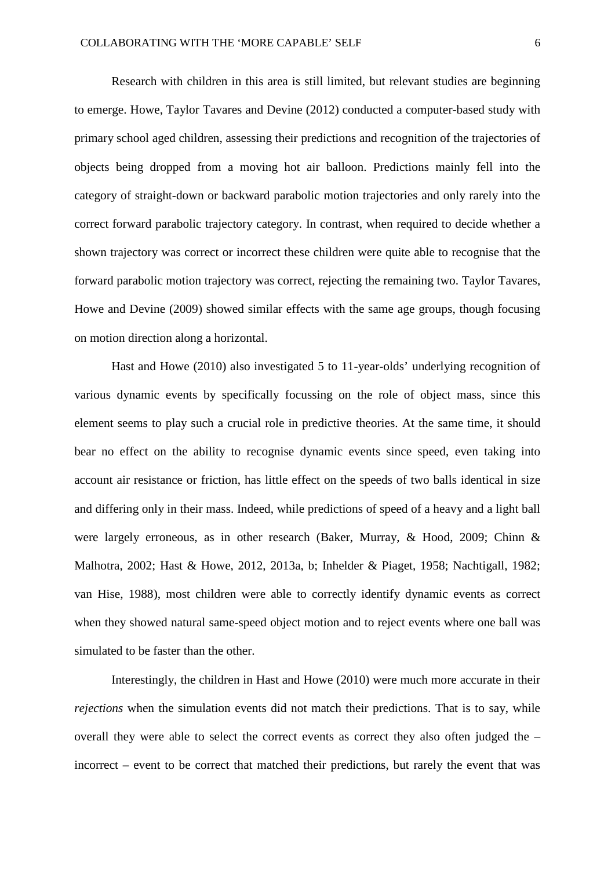Research with children in this area is still limited, but relevant studies are beginning to emerge. Howe, Taylor Tavares and Devine (2012) conducted a computer-based study with primary school aged children, assessing their predictions and recognition of the trajectories of objects being dropped from a moving hot air balloon. Predictions mainly fell into the category of straight-down or backward parabolic motion trajectories and only rarely into the correct forward parabolic trajectory category. In contrast, when required to decide whether a shown trajectory was correct or incorrect these children were quite able to recognise that the forward parabolic motion trajectory was correct, rejecting the remaining two. Taylor Tavares, Howe and Devine (2009) showed similar effects with the same age groups, though focusing on motion direction along a horizontal.

Hast and Howe (2010) also investigated 5 to 11-year-olds' underlying recognition of various dynamic events by specifically focussing on the role of object mass, since this element seems to play such a crucial role in predictive theories. At the same time, it should bear no effect on the ability to recognise dynamic events since speed, even taking into account air resistance or friction, has little effect on the speeds of two balls identical in size and differing only in their mass. Indeed, while predictions of speed of a heavy and a light ball were largely erroneous, as in other research (Baker, Murray, & Hood, 2009; Chinn & Malhotra, 2002; Hast & Howe, 2012, 2013a, b; Inhelder & Piaget, 1958; Nachtigall, 1982; van Hise, 1988), most children were able to correctly identify dynamic events as correct when they showed natural same-speed object motion and to reject events where one ball was simulated to be faster than the other.

Interestingly, the children in Hast and Howe (2010) were much more accurate in their *rejections* when the simulation events did not match their predictions. That is to say, while overall they were able to select the correct events as correct they also often judged the – incorrect – event to be correct that matched their predictions, but rarely the event that was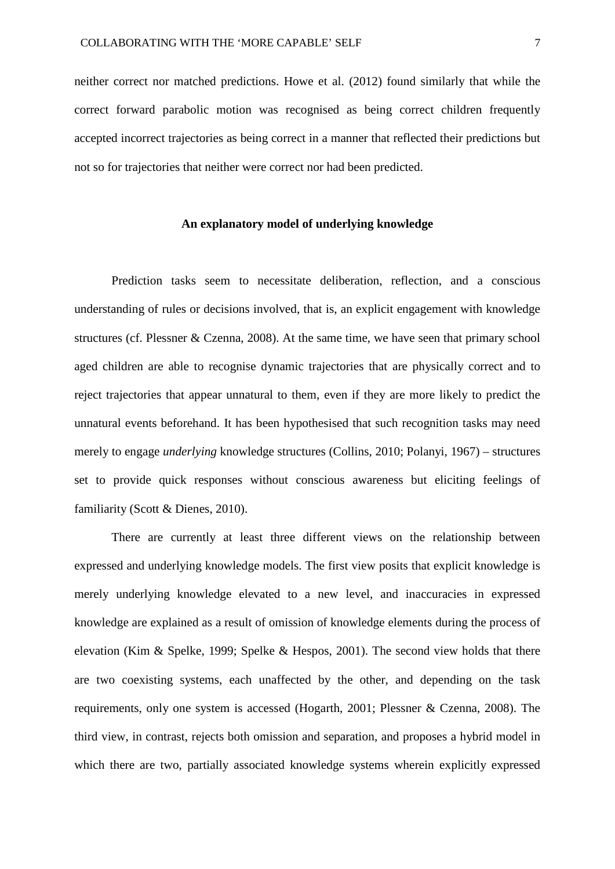neither correct nor matched predictions. Howe et al. (2012) found similarly that while the correct forward parabolic motion was recognised as being correct children frequently accepted incorrect trajectories as being correct in a manner that reflected their predictions but not so for trajectories that neither were correct nor had been predicted.

# **An explanatory model of underlying knowledge**

Prediction tasks seem to necessitate deliberation, reflection, and a conscious understanding of rules or decisions involved, that is, an explicit engagement with knowledge structures (cf. Plessner & Czenna, 2008). At the same time, we have seen that primary school aged children are able to recognise dynamic trajectories that are physically correct and to reject trajectories that appear unnatural to them, even if they are more likely to predict the unnatural events beforehand. It has been hypothesised that such recognition tasks may need merely to engage *underlying* knowledge structures (Collins, 2010; Polanyi, 1967) – structures set to provide quick responses without conscious awareness but eliciting feelings of familiarity (Scott & Dienes, 2010).

There are currently at least three different views on the relationship between expressed and underlying knowledge models. The first view posits that explicit knowledge is merely underlying knowledge elevated to a new level, and inaccuracies in expressed knowledge are explained as a result of omission of knowledge elements during the process of elevation (Kim & Spelke, 1999; Spelke & Hespos, 2001). The second view holds that there are two coexisting systems, each unaffected by the other, and depending on the task requirements, only one system is accessed (Hogarth, 2001; Plessner & Czenna, 2008). The third view, in contrast, rejects both omission and separation, and proposes a hybrid model in which there are two, partially associated knowledge systems wherein explicitly expressed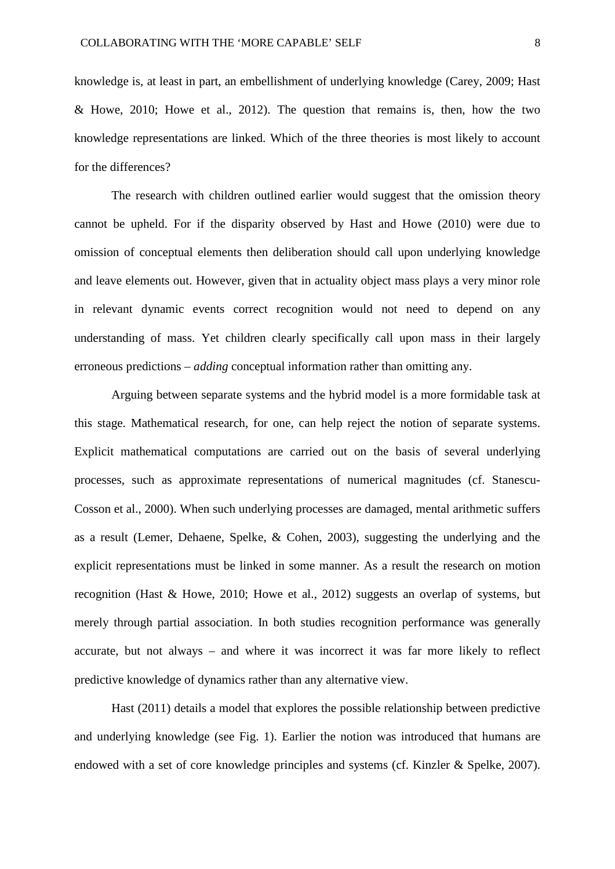knowledge is, at least in part, an embellishment of underlying knowledge (Carey, 2009; Hast & Howe, 2010; Howe et al., 2012). The question that remains is, then, how the two knowledge representations are linked. Which of the three theories is most likely to account for the differences?

The research with children outlined earlier would suggest that the omission theory cannot be upheld. For if the disparity observed by Hast and Howe (2010) were due to omission of conceptual elements then deliberation should call upon underlying knowledge and leave elements out. However, given that in actuality object mass plays a very minor role in relevant dynamic events correct recognition would not need to depend on any understanding of mass. Yet children clearly specifically call upon mass in their largely erroneous predictions – *adding* conceptual information rather than omitting any.

Arguing between separate systems and the hybrid model is a more formidable task at this stage. Mathematical research, for one, can help reject the notion of separate systems. Explicit mathematical computations are carried out on the basis of several underlying processes, such as approximate representations of numerical magnitudes (cf. Stanescu-Cosson et al., 2000). When such underlying processes are damaged, mental arithmetic suffers as a result (Lemer, Dehaene, Spelke, & Cohen, 2003), suggesting the underlying and the explicit representations must be linked in some manner. As a result the research on motion recognition (Hast & Howe, 2010; Howe et al., 2012) suggests an overlap of systems, but merely through partial association. In both studies recognition performance was generally accurate, but not always – and where it was incorrect it was far more likely to reflect predictive knowledge of dynamics rather than any alternative view.

Hast (2011) details a model that explores the possible relationship between predictive and underlying knowledge (see Fig. 1). Earlier the notion was introduced that humans are endowed with a set of core knowledge principles and systems (cf. Kinzler & Spelke, 2007).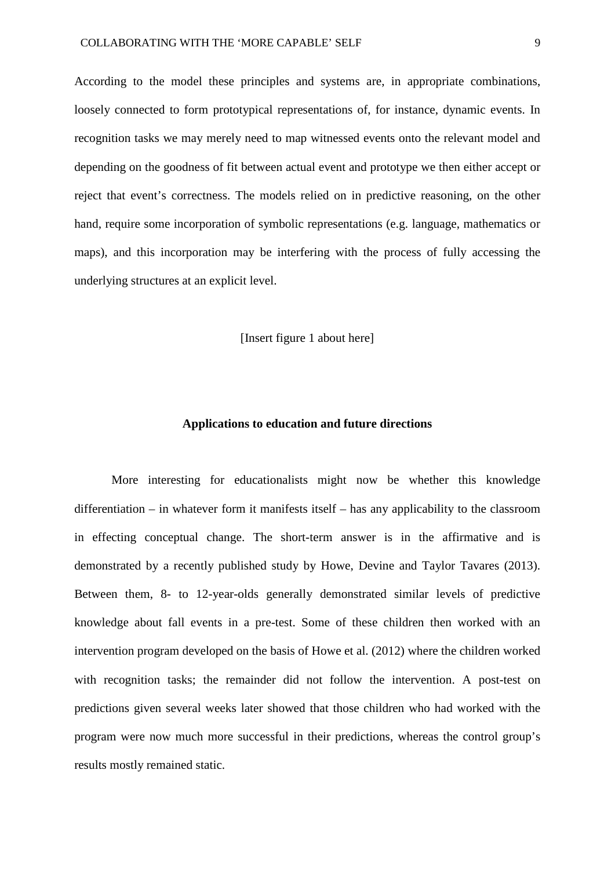According to the model these principles and systems are, in appropriate combinations, loosely connected to form prototypical representations of, for instance, dynamic events. In recognition tasks we may merely need to map witnessed events onto the relevant model and depending on the goodness of fit between actual event and prototype we then either accept or reject that event's correctness. The models relied on in predictive reasoning, on the other hand, require some incorporation of symbolic representations (e.g. language, mathematics or maps), and this incorporation may be interfering with the process of fully accessing the underlying structures at an explicit level.

[Insert figure 1 about here]

#### **Applications to education and future directions**

More interesting for educationalists might now be whether this knowledge differentiation – in whatever form it manifests itself – has any applicability to the classroom in effecting conceptual change. The short-term answer is in the affirmative and is demonstrated by a recently published study by Howe, Devine and Taylor Tavares (2013). Between them, 8- to 12-year-olds generally demonstrated similar levels of predictive knowledge about fall events in a pre-test. Some of these children then worked with an intervention program developed on the basis of Howe et al. (2012) where the children worked with recognition tasks; the remainder did not follow the intervention. A post-test on predictions given several weeks later showed that those children who had worked with the program were now much more successful in their predictions, whereas the control group's results mostly remained static.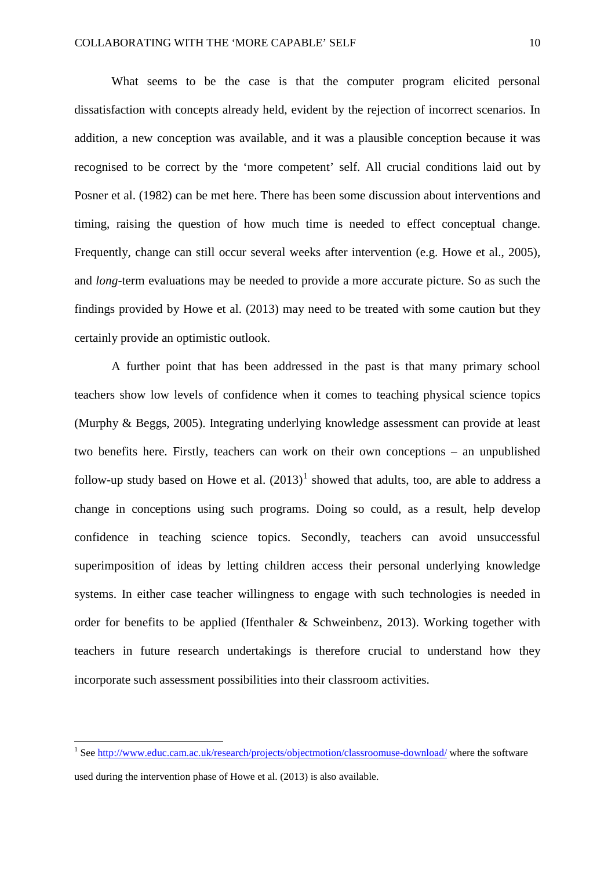What seems to be the case is that the computer program elicited personal dissatisfaction with concepts already held, evident by the rejection of incorrect scenarios. In addition, a new conception was available, and it was a plausible conception because it was recognised to be correct by the 'more competent' self. All crucial conditions laid out by Posner et al. (1982) can be met here. There has been some discussion about interventions and timing, raising the question of how much time is needed to effect conceptual change. Frequently, change can still occur several weeks after intervention (e.g. Howe et al., 2005), and *long-*term evaluations may be needed to provide a more accurate picture. So as such the findings provided by Howe et al. (2013) may need to be treated with some caution but they certainly provide an optimistic outlook.

A further point that has been addressed in the past is that many primary school teachers show low levels of confidence when it comes to teaching physical science topics (Murphy & Beggs, 2005). Integrating underlying knowledge assessment can provide at least two benefits here. Firstly, teachers can work on their own conceptions – an unpublished follow-up study based on Howe et al.  $(2013)^1$  $(2013)^1$  $(2013)^1$  showed that adults, too, are able to address a change in conceptions using such programs. Doing so could, as a result, help develop confidence in teaching science topics. Secondly, teachers can avoid unsuccessful superimposition of ideas by letting children access their personal underlying knowledge systems. In either case teacher willingness to engage with such technologies is needed in order for benefits to be applied (Ifenthaler & Schweinbenz, 2013). Working together with teachers in future research undertakings is therefore crucial to understand how they incorporate such assessment possibilities into their classroom activities.

<span id="page-11-0"></span><sup>&</sup>lt;sup>1</sup> Se[e http://www.educ.cam.ac.uk/research/projects/objectmotion/classroomuse-download/](http://www.educ.cam.ac.uk/research/projects/objectmotion/classroomuse-download/) where the software used during the intervention phase of Howe et al. (2013) is also available.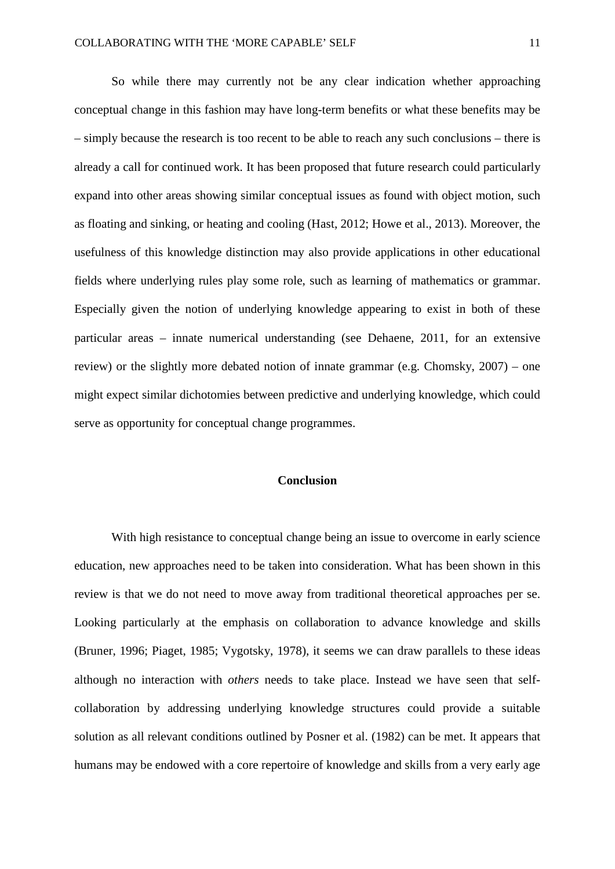So while there may currently not be any clear indication whether approaching conceptual change in this fashion may have long-term benefits or what these benefits may be – simply because the research is too recent to be able to reach any such conclusions – there is already a call for continued work. It has been proposed that future research could particularly expand into other areas showing similar conceptual issues as found with object motion, such as floating and sinking, or heating and cooling (Hast, 2012; Howe et al., 2013). Moreover, the usefulness of this knowledge distinction may also provide applications in other educational fields where underlying rules play some role, such as learning of mathematics or grammar. Especially given the notion of underlying knowledge appearing to exist in both of these particular areas – innate numerical understanding (see Dehaene, 2011, for an extensive review) or the slightly more debated notion of innate grammar (e.g. Chomsky, 2007) – one might expect similar dichotomies between predictive and underlying knowledge, which could serve as opportunity for conceptual change programmes.

#### **Conclusion**

With high resistance to conceptual change being an issue to overcome in early science education, new approaches need to be taken into consideration. What has been shown in this review is that we do not need to move away from traditional theoretical approaches per se. Looking particularly at the emphasis on collaboration to advance knowledge and skills (Bruner, 1996; Piaget, 1985; Vygotsky, 1978), it seems we can draw parallels to these ideas although no interaction with *others* needs to take place. Instead we have seen that selfcollaboration by addressing underlying knowledge structures could provide a suitable solution as all relevant conditions outlined by Posner et al. (1982) can be met. It appears that humans may be endowed with a core repertoire of knowledge and skills from a very early age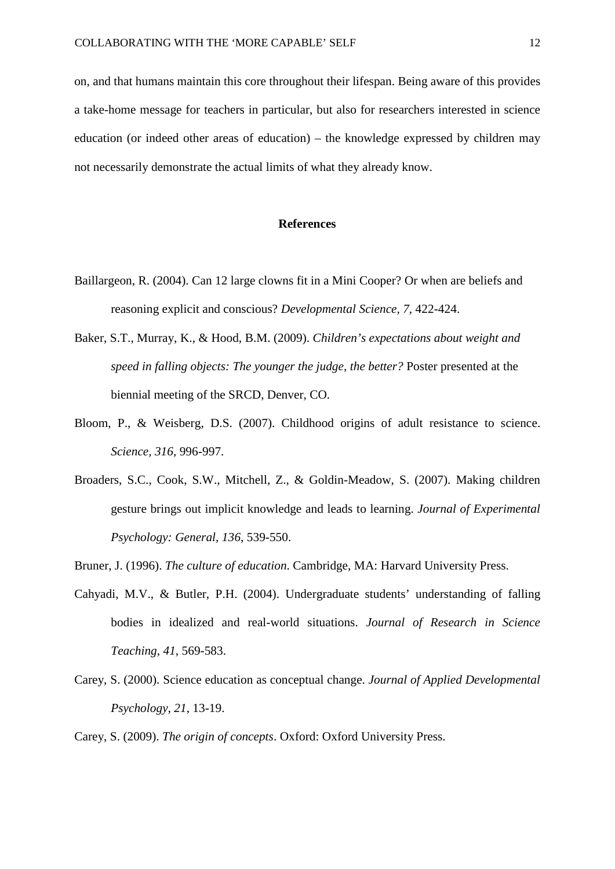on, and that humans maintain this core throughout their lifespan. Being aware of this provides a take-home message for teachers in particular, but also for researchers interested in science education (or indeed other areas of education) – the knowledge expressed by children may not necessarily demonstrate the actual limits of what they already know.

# **References**

- Baillargeon, R. (2004). Can 12 large clowns fit in a Mini Cooper? Or when are beliefs and reasoning explicit and conscious? *Developmental Science, 7*, 422-424.
- Baker, S.T., Murray, K., & Hood, B.M. (2009). *Children's expectations about weight and speed in falling objects: The younger the judge, the better?* Poster presented at the biennial meeting of the SRCD, Denver, CO.
- Bloom, P., & Weisberg, D.S. (2007). Childhood origins of adult resistance to science. *Science, 316*, 996-997.
- Broaders, S.C., Cook, S.W., Mitchell, Z., & Goldin-Meadow, S. (2007). Making children gesture brings out implicit knowledge and leads to learning. *Journal of Experimental Psychology: General, 136*, 539-550.

Bruner, J. (1996). *The culture of education*. Cambridge, MA: Harvard University Press.

- Cahyadi, M.V., & Butler, P.H. (2004). Undergraduate students' understanding of falling bodies in idealized and real-world situations. *Journal of Research in Science Teaching, 41*, 569-583.
- Carey, S. (2000). Science education as conceptual change. *Journal of Applied Developmental Psychology, 21*, 13-19.
- Carey, S. (2009). *The origin of concepts*. Oxford: Oxford University Press.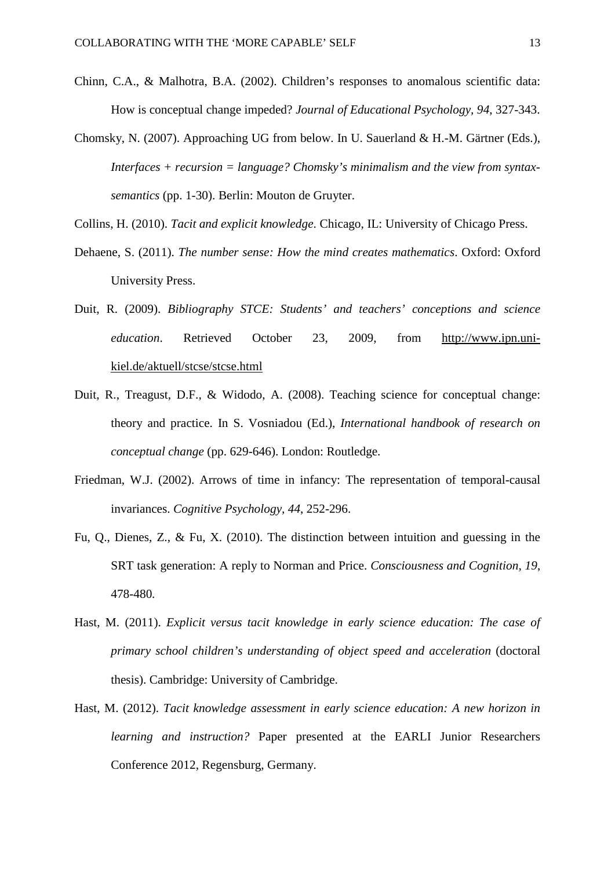- Chinn, C.A., & Malhotra, B.A. (2002). Children's responses to anomalous scientific data: How is conceptual change impeded? *Journal of Educational Psychology, 94*, 327-343.
- Chomsky, N. (2007). Approaching UG from below. In U. Sauerland & H.-M. Gärtner (Eds.), *Interfaces + recursion = language? Chomsky's minimalism and the view from syntaxsemantics* (pp. 1-30). Berlin: Mouton de Gruyter.
- Collins, H. (2010). *Tacit and explicit knowledge*. Chicago, IL: University of Chicago Press.
- Dehaene, S. (2011). *The number sense: How the mind creates mathematics*. Oxford: Oxford University Press.
- Duit, R. (2009). *Bibliography STCE: Students' and teachers' conceptions and science education*. Retrieved October 23, 2009, from [http://www.ipn.uni](http://www.ipn.uni-kiel.de/aktuell/stcse/stcse.html)[kiel.de/aktuell/stcse/stcse.html](http://www.ipn.uni-kiel.de/aktuell/stcse/stcse.html)
- Duit, R., Treagust, D.F., & Widodo, A. (2008). Teaching science for conceptual change: theory and practice. In S. Vosniadou (Ed.), *International handbook of research on conceptual change* (pp. 629-646). London: Routledge.
- Friedman, W.J. (2002). Arrows of time in infancy: The representation of temporal-causal invariances. *Cognitive Psychology, 44*, 252-296.
- Fu, Q., Dienes, Z., & Fu, X. (2010). The distinction between intuition and guessing in the SRT task generation: A reply to Norman and Price. *Consciousness and Cognition, 19*, 478-480*.*
- Hast, M. (2011). *Explicit versus tacit knowledge in early science education: The case of primary school children's understanding of object speed and acceleration* (doctoral thesis). Cambridge: University of Cambridge.
- Hast, M. (2012). *Tacit knowledge assessment in early science education: A new horizon in learning and instruction?* Paper presented at the EARLI Junior Researchers Conference 2012, Regensburg, Germany.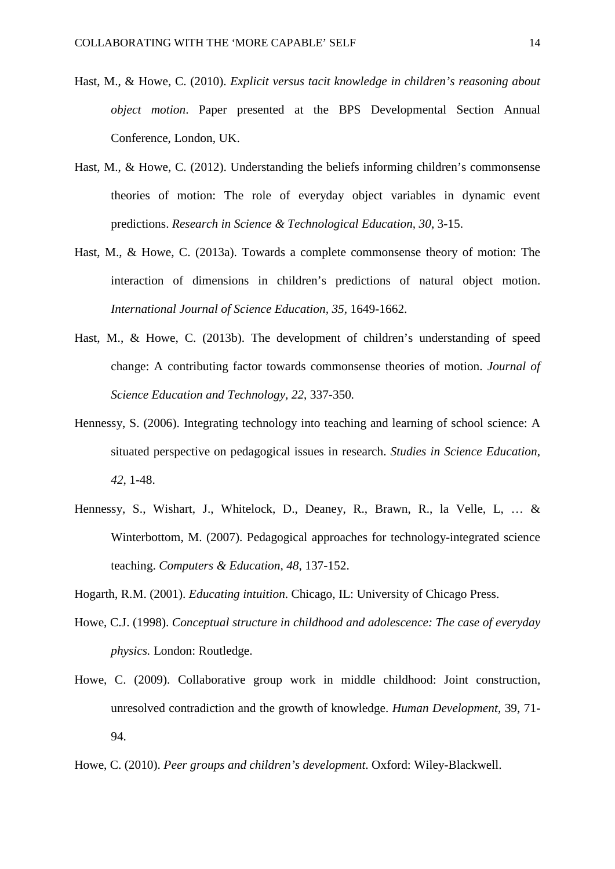- Hast, M., & Howe, C. (2010). *Explicit versus tacit knowledge in children's reasoning about object motion*. Paper presented at the BPS Developmental Section Annual Conference, London, UK.
- Hast, M., & Howe, C. (2012). Understanding the beliefs informing children's commonsense theories of motion: The role of everyday object variables in dynamic event predictions. *Research in Science & Technological Education, 30*, 3-15.
- Hast, M., & Howe, C. (2013a). Towards a complete commonsense theory of motion: The interaction of dimensions in children's predictions of natural object motion. *International Journal of Science Education, 35,* 1649-1662.
- Hast, M., & Howe, C. (2013b). The development of children's understanding of speed change: A contributing factor towards commonsense theories of motion. *Journal of Science Education and Technology, 22*, 337-350*.*
- Hennessy, S. (2006). Integrating technology into teaching and learning of school science: A situated perspective on pedagogical issues in research. *Studies in Science Education, 42*, 1-48.
- Hennessy, S., Wishart, J., Whitelock, D., Deaney, R., Brawn, R., la Velle, L, … & Winterbottom, M. (2007). Pedagogical approaches for technology-integrated science teaching. *Computers & Education, 48*, 137-152.
- Hogarth, R.M. (2001). *Educating intuition*. Chicago, IL: University of Chicago Press.
- Howe, C.J. (1998). *Conceptual structure in childhood and adolescence: The case of everyday physics.* London: Routledge.
- Howe, C. (2009). Collaborative group work in middle childhood: Joint construction, unresolved contradiction and the growth of knowledge. *Human Development,* 39, 71- 94.
- Howe, C. (2010). *Peer groups and children's development*. Oxford: Wiley-Blackwell.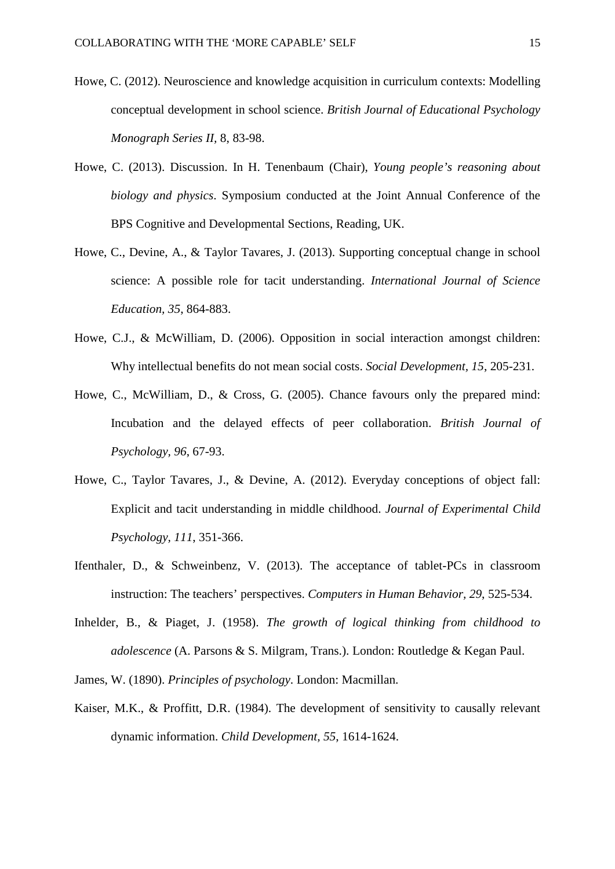- Howe, C. (2012). Neuroscience and knowledge acquisition in curriculum contexts: Modelling conceptual development in school science. *British Journal of Educational Psychology Monograph Series II,* 8, 83-98.
- Howe, C. (2013). Discussion. In H. Tenenbaum (Chair), *Young people's reasoning about biology and physics*. Symposium conducted at the Joint Annual Conference of the BPS Cognitive and Developmental Sections, Reading, UK.
- Howe, C., Devine, A., & Taylor Tavares, J. (2013). Supporting conceptual change in school science: A possible role for tacit understanding. *International Journal of Science Education, 35*, 864-883.
- Howe, C.J., & McWilliam, D. (2006). Opposition in social interaction amongst children: Why intellectual benefits do not mean social costs. *Social Development, 15*, 205-231.
- Howe, C., McWilliam, D., & Cross, G. (2005). Chance favours only the prepared mind: Incubation and the delayed effects of peer collaboration. *British Journal of Psychology, 96*, 67-93.
- Howe, C., Taylor Tavares, J., & Devine, A. (2012). Everyday conceptions of object fall: Explicit and tacit understanding in middle childhood. *Journal of Experimental Child Psychology, 111*, 351-366.
- Ifenthaler, D., & Schweinbenz, V. (2013). The acceptance of tablet-PCs in classroom instruction: The teachers' perspectives. *Computers in Human Behavior, 29*, 525-534.
- Inhelder, B., & Piaget, J. (1958). *The growth of logical thinking from childhood to adolescence* (A. Parsons & S. Milgram, Trans.). London: Routledge & Kegan Paul.

James, W. (1890). *Principles of psychology*. London: Macmillan.

Kaiser, M.K., & Proffitt, D.R. (1984). The development of sensitivity to causally relevant dynamic information. *Child Development, 55*, 1614-1624.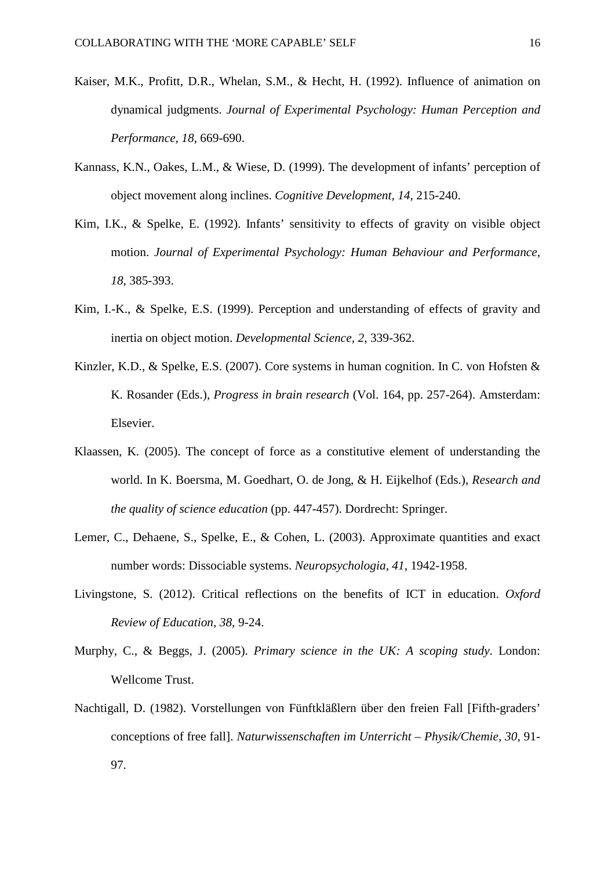- Kaiser, M.K., Profitt, D.R., Whelan, S.M., & Hecht, H. (1992). Influence of animation on dynamical judgments. *Journal of Experimental Psychology: Human Perception and Performance, 18,* 669-690.
- Kannass, K.N., Oakes, L.M., & Wiese, D. (1999). The development of infants' perception of object movement along inclines. *Cognitive Development, 14*, 215-240.
- Kim, I.K., & Spelke, E. (1992). Infants' sensitivity to effects of gravity on visible object motion. *Journal of Experimental Psychology: Human Behaviour and Performance, 18*, 385-393.
- Kim, I.-K., & Spelke, E.S. (1999). Perception and understanding of effects of gravity and inertia on object motion. *Developmental Science, 2*, 339-362.
- Kinzler, K.D., & Spelke, E.S. (2007). Core systems in human cognition. In C. von Hofsten & K. Rosander (Eds.), *Progress in brain research* (Vol. 164, pp. 257-264). Amsterdam: Elsevier.
- Klaassen, K. (2005). The concept of force as a constitutive element of understanding the world. In K. Boersma, M. Goedhart, O. de Jong, & H. Eijkelhof (Eds.), *Research and the quality of science education* (pp. 447-457). Dordrecht: Springer.
- Lemer, C., Dehaene, S., Spelke, E., & Cohen, L. (2003). Approximate quantities and exact number words: Dissociable systems. *Neuropsychologia, 41*, 1942-1958.
- Livingstone, S. (2012). Critical reflections on the benefits of ICT in education. *Oxford Review of Education, 38*, 9-24.
- Murphy, C., & Beggs, J. (2005). *Primary science in the UK: A scoping study*. London: Wellcome Trust.
- Nachtigall, D. (1982). Vorstellungen von Fünftkläßlern über den freien Fall [Fifth-graders' conceptions of free fall]. *Naturwissenschaften im Unterricht – Physik/Chemie, 30*, 91- 97.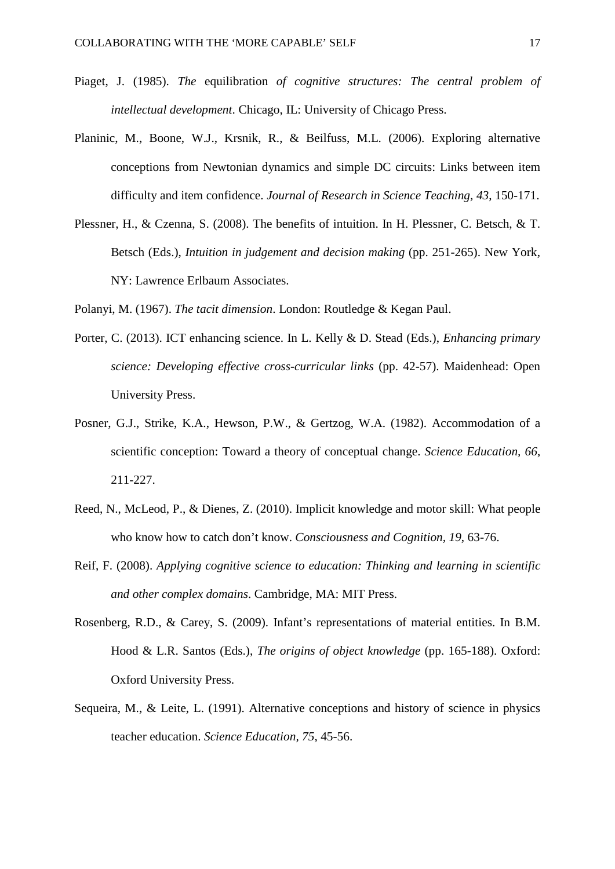- Piaget, J. (1985). *The* equilibration *of cognitive structures: The central problem of intellectual development*. Chicago, IL: University of Chicago Press.
- Planinic, M., Boone, W.J., Krsnik, R., & Beilfuss, M.L. (2006). Exploring alternative conceptions from Newtonian dynamics and simple DC circuits: Links between item difficulty and item confidence. *Journal of Research in Science Teaching, 43*, 150-171.
- Plessner, H., & Czenna, S. (2008). The benefits of intuition. In H. Plessner, C. Betsch, & T. Betsch (Eds.), *Intuition in judgement and decision making* (pp. 251-265). New York, NY: Lawrence Erlbaum Associates.

Polanyi, M. (1967). *The tacit dimension*. London: Routledge & Kegan Paul.

- Porter, C. (2013). ICT enhancing science. In L. Kelly & D. Stead (Eds.), *Enhancing primary science: Developing effective cross-curricular links* (pp. 42-57). Maidenhead: Open University Press.
- Posner, G.J., Strike, K.A., Hewson, P.W., & Gertzog, W.A. (1982). Accommodation of a scientific conception: Toward a theory of conceptual change. *Science Education, 66*, 211-227.
- Reed, N., McLeod, P., & Dienes, Z. (2010). Implicit knowledge and motor skill: What people who know how to catch don't know. *Consciousness and Cognition, 19*, 63-76.
- Reif, F. (2008). *Applying cognitive science to education: Thinking and learning in scientific and other complex domains*. Cambridge, MA: MIT Press.
- Rosenberg, R.D., & Carey, S. (2009). Infant's representations of material entities. In B.M. Hood & L.R. Santos (Eds.), *The origins of object knowledge* (pp. 165-188). Oxford: Oxford University Press.
- Sequeira, M., & Leite, L. (1991). Alternative conceptions and history of science in physics teacher education. *Science Education, 75*, 45-56.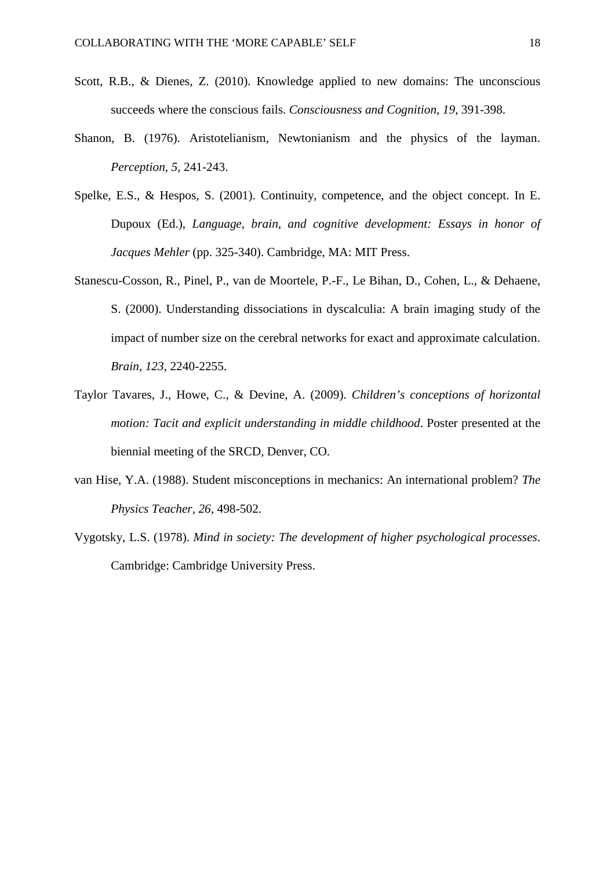- Scott, R.B., & Dienes, Z. (2010). Knowledge applied to new domains: The unconscious succeeds where the conscious fails. *Consciousness and Cognition, 19*, 391-398.
- Shanon, B. (1976). Aristotelianism, Newtonianism and the physics of the layman. *Perception, 5*, 241-243.
- Spelke, E.S., & Hespos, S. (2001). Continuity, competence, and the object concept. In E. Dupoux (Ed.), *Language, brain, and cognitive development: Essays in honor of Jacques Mehler* (pp. 325-340). Cambridge, MA: MIT Press.
- Stanescu-Cosson, R., Pinel, P., van de Moortele, P.-F., Le Bihan, D., Cohen, L., & Dehaene, S. (2000). Understanding dissociations in dyscalculia: A brain imaging study of the impact of number size on the cerebral networks for exact and approximate calculation. *Brain, 123*, 2240-2255.
- Taylor Tavares, J., Howe, C., & Devine, A. (2009). *Children's conceptions of horizontal motion: Tacit and explicit understanding in middle childhood*. Poster presented at the biennial meeting of the SRCD, Denver, CO.
- van Hise, Y.A. (1988). Student misconceptions in mechanics: An international problem? *The Physics Teacher, 26*, 498-502.
- Vygotsky, L.S. (1978). *Mind in society: The development of higher psychological processes*. Cambridge: Cambridge University Press.